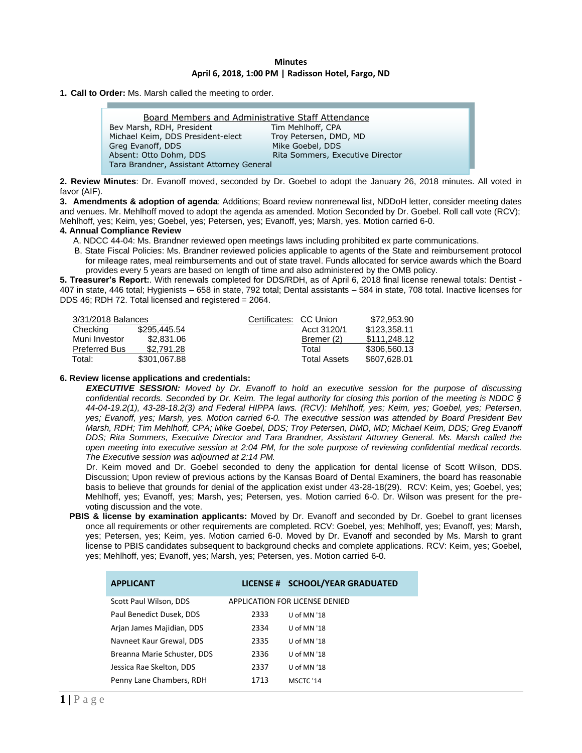#### **Minutes April 6, 2018, 1:00 PM | Radisson Hotel, Fargo, ND**

**1. Call to Order:** Ms. Marsh called the meeting to order.

| <b>Board Members and Administrative Staff Attendance</b> |                                  |  |  |  |
|----------------------------------------------------------|----------------------------------|--|--|--|
| Bev Marsh, RDH, President                                | Tim Mehlhoff, CPA                |  |  |  |
| Michael Keim, DDS President-elect                        | Troy Petersen, DMD, MD           |  |  |  |
| Greg Evanoff, DDS                                        | Mike Goebel, DDS                 |  |  |  |
| Absent: Otto Dohm, DDS                                   | Rita Sommers, Executive Director |  |  |  |
| Tara Brandner, Assistant Attorney General                |                                  |  |  |  |

**2. Review Minutes**: Dr. Evanoff moved, seconded by Dr. Goebel to adopt the January 26, 2018 minutes. All voted in favor (AIF). I

**3. Amendments & adoption of agenda**: Additions; Board review nonrenewal list, NDDoH letter, consider meeting dates and venues. Mr. Mehlhoff moved to adopt the agenda as amended. Motion Seconded by Dr. Goebel. Roll call vote (RCV); Mehlhoff, yes; Keim, yes; Goebel, yes; Petersen, yes; Evanoff, yes; Marsh, yes. Motion carried 6-0.

### **4. Annual Compliance Review**

- A. NDCC 44-04: Ms. Brandner reviewed open meetings laws including prohibited ex parte communications.
- B. State Fiscal Policies: Ms. Brandner reviewed policies applicable to agents of the State and reimbursement protocol for mileage rates, meal reimbursements and out of state travel. Funds allocated for service awards which the Board provides every 5 years are based on length of time and also administered by the OMB policy.

**5. Treasurer's Report:**. With renewals completed for DDS/RDH, as of April 6, 2018 final license renewal totals: Dentist - 407 in state, 446 total; Hygienists – 658 in state, 792 total; Dental assistants – 584 in state, 708 total. Inactive licenses for DDS 46; RDH 72. Total licensed and registered = 2064.

| 3/31/2018 Balances   |              | Certificates: CC Union |                     | \$72,953,90  |
|----------------------|--------------|------------------------|---------------------|--------------|
| Checking             | \$295,445.54 |                        | Acct 3120/1         | \$123.358.11 |
| Muni Investor        | \$2,831,06   |                        | Bremer (2)          | \$111.248.12 |
| <b>Preferred Bus</b> | \$2.791.28   |                        | Total               | \$306,560.13 |
| Total:               | \$301,067.88 |                        | <b>Total Assets</b> | \$607,628.01 |

#### **6. Review license applications and credentials:**

*EXECUTIVE SESSION: Moved by Dr. Evanoff to hold an executive session for the purpose of discussing confidential records. Seconded by Dr. Keim. The legal authority for closing this portion of the meeting is NDDC § 44-04-19.2(1), 43-28-18.2(3) and Federal HIPPA laws. (RCV): Mehlhoff, yes; Keim, yes; Goebel, yes; Petersen, yes; Evanoff, yes; Marsh, yes. Motion carried 6-0. The executive session was attended by Board President Bev Marsh, RDH; Tim Mehlhoff, CPA; Mike Goebel, DDS; Troy Petersen, DMD, MD; Michael Keim, DDS; Greg Evanoff DDS; Rita Sommers, Executive Director and Tara Brandner, Assistant Attorney General. Ms. Marsh called the open meeting into executive session at 2:04 PM, for the sole purpose of reviewing confidential medical records. The Executive session was adjourned at 2:14 PM.*

Dr. Keim moved and Dr. Goebel seconded to deny the application for dental license of Scott Wilson, DDS. Discussion; Upon review of previous actions by the Kansas Board of Dental Examiners, the board has reasonable basis to believe that grounds for denial of the application exist under 43-28-18(29). RCV: Keim, yes; Goebel, yes; Mehlhoff, yes; Evanoff, yes; Marsh, yes; Petersen, yes. Motion carried 6-0. Dr. Wilson was present for the prevoting discussion and the vote.

 **PBIS & license by examination applicants:** Moved by Dr. Evanoff and seconded by Dr. Goebel to grant licenses once all requirements or other requirements are completed. RCV: Goebel, yes; Mehlhoff, yes; Evanoff, yes; Marsh, yes; Petersen, yes; Keim, yes. Motion carried 6-0. Moved by Dr. Evanoff and seconded by Ms. Marsh to grant license to PBIS candidates subsequent to background checks and complete applications. RCV: Keim, yes; Goebel, yes; Mehlhoff, yes; Evanoff, yes; Marsh, yes; Petersen, yes. Motion carried 6-0.

| <b>APPLICANT</b>            |      | LICENSE # SCHOOL/YEAR GRADUATED |
|-----------------------------|------|---------------------------------|
| Scott Paul Wilson, DDS      |      | APPLICATION FOR LICENSE DENIED  |
| Paul Benedict Dusek, DDS    | 2333 | U of MN '18                     |
| Arjan James Majidian, DDS   | 2334 | U of MN '18                     |
| Navneet Kaur Grewal, DDS    | 2335 | U of MN '18                     |
| Breanna Marie Schuster, DDS | 2336 | U of MN '18                     |
| Jessica Rae Skelton, DDS    | 2337 | U of $MN'18$                    |
| Penny Lane Chambers, RDH    | 1713 | MSCTC '14                       |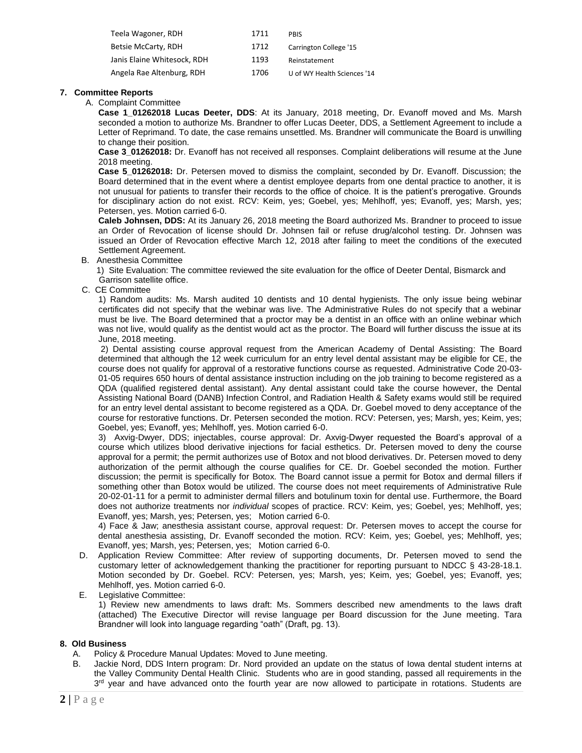| Teela Wagoner, RDH          | 1711 | <b>PRIS</b>                 |
|-----------------------------|------|-----------------------------|
| Betsie McCarty, RDH         | 1712 | Carrington College '15      |
| Janis Elaine Whitesock, RDH | 1193 | Reinstatement               |
| Angela Rae Altenburg, RDH   | 1706 | U of WY Health Sciences '14 |

## **7. Committee Reports**

A. Complaint Committee

**Case 1\_01262018 Lucas Deeter, DDS**: At its January, 2018 meeting, Dr. Evanoff moved and Ms. Marsh seconded a motion to authorize Ms. Brandner to offer Lucas Deeter, DDS, a Settlement Agreement to include a Letter of Reprimand. To date, the case remains unsettled. Ms. Brandner will communicate the Board is unwilling to change their position.

**Case 3\_01262018:** Dr. Evanoff has not received all responses. Complaint deliberations will resume at the June 2018 meeting.

**Case 5\_01262018:** Dr. Petersen moved to dismiss the complaint, seconded by Dr. Evanoff. Discussion; the Board determined that in the event where a dentist employee departs from one dental practice to another, it is not unusual for patients to transfer their records to the office of choice. It is the patient's prerogative. Grounds for disciplinary action do not exist. RCV: Keim, yes; Goebel, yes; Mehlhoff, yes; Evanoff, yes; Marsh, yes; Petersen, yes. Motion carried 6-0.

**Caleb Johnsen, DDS:** At its January 26, 2018 meeting the Board authorized Ms. Brandner to proceed to issue an Order of Revocation of license should Dr. Johnsen fail or refuse drug/alcohol testing. Dr. Johnsen was issued an Order of Revocation effective March 12, 2018 after failing to meet the conditions of the executed Settlement Agreement.

B. Anesthesia Committee

1) Site Evaluation: The committee reviewed the site evaluation for the office of Deeter Dental, Bismarck and Garrison satellite office.

C. CE Committee

1) Random audits: Ms. Marsh audited 10 dentists and 10 dental hygienists. The only issue being webinar certificates did not specify that the webinar was live. The Administrative Rules do not specify that a webinar must be live. The Board determined that a proctor may be a dentist in an office with an online webinar which was not live, would qualify as the dentist would act as the proctor. The Board will further discuss the issue at its June, 2018 meeting.

2) Dental assisting course approval request from the American Academy of Dental Assisting: The Board determined that although the 12 week curriculum for an entry level dental assistant may be eligible for CE, the course does not qualify for approval of a restorative functions course as requested. Administrative Code 20-03- 01-05 requires 650 hours of dental assistance instruction including on the job training to become registered as a QDA (qualified registered dental assistant). Any dental assistant could take the course however, the Dental Assisting National Board (DANB) Infection Control, and Radiation Health & Safety exams would still be required for an entry level dental assistant to become registered as a QDA. Dr. Goebel moved to deny acceptance of the course for restorative functions. Dr. Petersen seconded the motion. RCV: Petersen, yes; Marsh, yes; Keim, yes; Goebel, yes; Evanoff, yes; Mehlhoff, yes. Motion carried 6-0.

3) Axvig-Dwyer, DDS; injectables, course approval: Dr. Axvig-Dwyer requested the Board's approval of a course which utilizes blood derivative injections for facial esthetics. Dr. Petersen moved to deny the course approval for a permit; the permit authorizes use of Botox and not blood derivatives. Dr. Petersen moved to deny authorization of the permit although the course qualifies for CE. Dr. Goebel seconded the motion. Further discussion; the permit is specifically for Botox. The Board cannot issue a permit for Botox and dermal fillers if something other than Botox would be utilized. The course does not meet requirements of Administrative Rule 20-02-01-11 for a permit to administer dermal fillers and botulinum toxin for dental use. Furthermore, the Board does not authorize treatments nor *individual* scopes of practice. RCV: Keim, yes; Goebel, yes; Mehlhoff, yes; Evanoff, yes; Marsh, yes; Petersen, yes; Motion carried 6-0.

4) Face & Jaw; anesthesia assistant course, approval request: Dr. Petersen moves to accept the course for dental anesthesia assisting, Dr. Evanoff seconded the motion. RCV: Keim, yes; Goebel, yes; Mehlhoff, yes; Evanoff, yes; Marsh, yes; Petersen, yes; Motion carried 6-0.

- D. Application Review Committee: After review of supporting documents, Dr. Petersen moved to send the customary letter of acknowledgement thanking the practitioner for reporting pursuant to NDCC § 43-28-18.1. Motion seconded by Dr. Goebel. RCV: Petersen, yes; Marsh, yes; Keim, yes; Goebel, yes; Evanoff, yes; Mehlhoff, yes. Motion carried 6-0.
- E. Legislative Committee:

1) Review new amendments to laws draft: Ms. Sommers described new amendments to the laws draft (attached) The Executive Director will revise language per Board discussion for the June meeting. Tara Brandner will look into language regarding "oath" (Draft, pg. 13).

# **8. Old Business**

- A. Policy & Procedure Manual Updates: Moved to June meeting.
- B. Jackie Nord, DDS Intern program: Dr. Nord provided an update on the status of Iowa dental student interns at the Valley Community Dental Health Clinic. Students who are in good standing, passed all requirements in the 3<sup>rd</sup> year and have advanced onto the fourth year are now allowed to participate in rotations. Students are